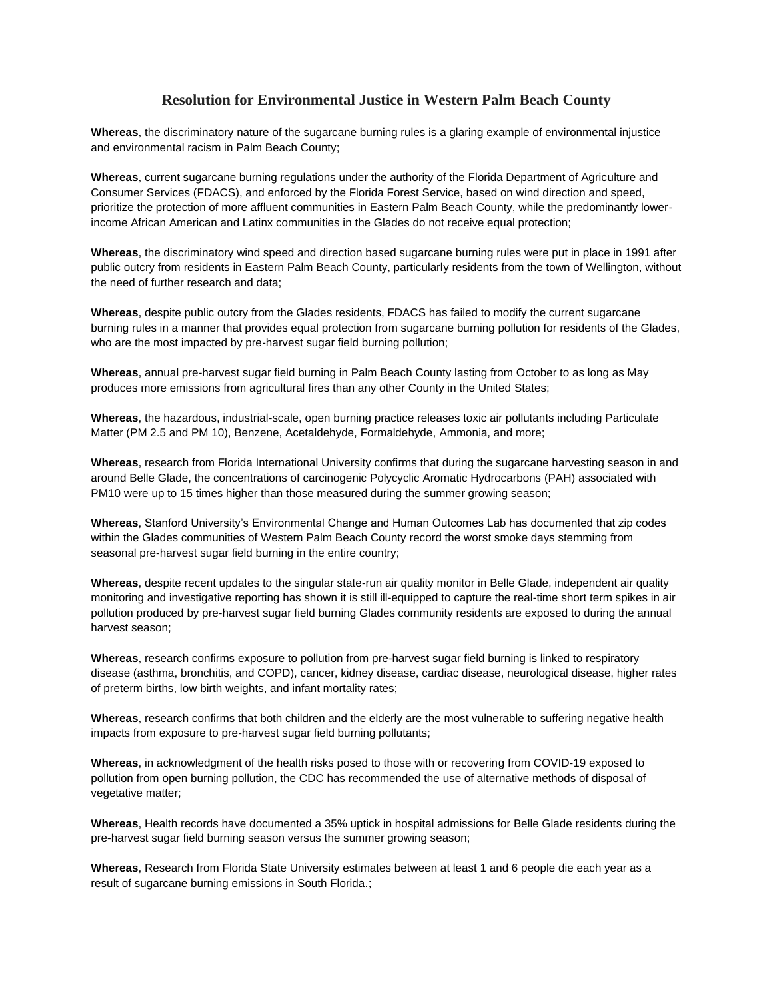## **Resolution for Environmental Justice in Western Palm Beach County**

**Whereas**, the discriminatory nature of the sugarcane burning rules is a glaring example of environmental injustice and environmental racism in Palm Beach County;

**Whereas**, current sugarcane burning regulations under the authority of the Florida Department of Agriculture and Consumer Services (FDACS), and enforced by the Florida Forest Service, based on wind direction and speed, prioritize the protection of more affluent communities in Eastern Palm Beach County, while the predominantly lowerincome African American and Latinx communities in the Glades do not receive equal protection;

**Whereas**, the discriminatory wind speed and direction based sugarcane burning rules were put in place in 1991 after public outcry from residents in Eastern Palm Beach County, particularly residents from the town of Wellington, without the need of further research and data;

**Whereas**, despite public outcry from the Glades residents, FDACS has failed to modify the current sugarcane burning rules in a manner that provides equal protection from sugarcane burning pollution for residents of the Glades, who are the most impacted by pre-harvest sugar field burning pollution;

**Whereas**, annual pre-harvest sugar field burning in Palm Beach County lasting from October to as long as May produces more emissions from agricultural fires than any other County in the United States;

**Whereas**, the hazardous, industrial-scale, open burning practice releases toxic air pollutants including Particulate Matter (PM 2.5 and PM 10), Benzene, Acetaldehyde, Formaldehyde, Ammonia, and more;

**Whereas**, research from Florida International University confirms that during the sugarcane harvesting season in and around Belle Glade, the concentrations of carcinogenic Polycyclic Aromatic Hydrocarbons (PAH) associated with PM10 were up to 15 times higher than those measured during the summer growing season;

**Whereas**, Stanford University's Environmental Change and Human Outcomes Lab has documented that zip codes within the Glades communities of Western Palm Beach County record the worst smoke days stemming from seasonal pre-harvest sugar field burning in the entire country;

**Whereas**, despite recent updates to the singular state-run air quality monitor in Belle Glade, independent air quality monitoring and investigative reporting has shown it is still ill-equipped to capture the real-time short term spikes in air pollution produced by pre-harvest sugar field burning Glades community residents are exposed to during the annual harvest season;

**Whereas**, research confirms exposure to pollution from pre-harvest sugar field burning is linked to respiratory disease (asthma, bronchitis, and COPD), cancer, kidney disease, cardiac disease, neurological disease, higher rates of preterm births, low birth weights, and infant mortality rates;

**Whereas**, research confirms that both children and the elderly are the most vulnerable to suffering negative health impacts from exposure to pre-harvest sugar field burning pollutants;

**Whereas**, in acknowledgment of the health risks posed to those with or recovering from COVID-19 exposed to pollution from open burning pollution, the CDC has recommended the use of alternative methods of disposal of vegetative matter;

**Whereas**, Health records have documented a 35% uptick in hospital admissions for Belle Glade residents during the pre-harvest sugar field burning season versus the summer growing season;

**Whereas**, Research from Florida State University estimates between at least 1 and 6 people die each year as a result of sugarcane burning emissions in South Florida.;